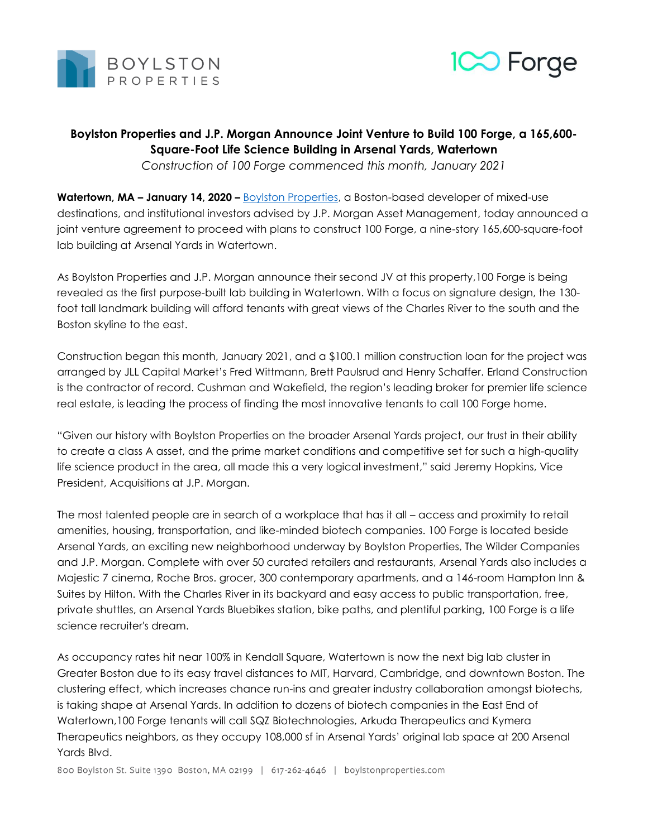



## **Boylston Properties and J.P. Morgan Announce Joint Venture to Build 100 Forge, a 165,600- Square-Foot Life Science Building in Arsenal Yards, Watertown**

*Construction of 100 Forge commenced this month, January 2021*

**Watertown, MA – January 14, 2020 –** [Boylston Properties,](http://www.boylstonproperties.com/) a Boston-based developer of mixed-use destinations, and institutional investors advised by J.P. Morgan Asset Management, today announced a joint venture agreement to proceed with plans to construct 100 Forge, a nine-story 165,600-square-foot lab building at Arsenal Yards in Watertown.

As Boylston Properties and J.P. Morgan announce their second JV at this property,100 Forge is being revealed as the first purpose-built lab building in Watertown. With a focus on signature design, the 130 foot tall landmark building will afford tenants with great views of the Charles River to the south and the Boston skyline to the east.

Construction began this month, January 2021, and a \$100.1 million construction loan for the project was arranged by JLL Capital Market's Fred Wittmann, Brett Paulsrud and Henry Schaffer. Erland Construction is the contractor of record. Cushman and Wakefield, the region's leading broker for premier life science real estate, is leading the process of finding the most innovative tenants to call 100 Forge home.

"Given our history with Boylston Properties on the broader Arsenal Yards project, our trust in their ability to create a class A asset, and the prime market conditions and competitive set for such a high-quality life science product in the area, all made this a very logical investment," said Jeremy Hopkins, Vice President, Acquisitions at J.P. Morgan.

The most talented people are in search of a workplace that has it all – access and proximity to retail amenities, housing, transportation, and like-minded biotech companies. 100 Forge is located beside Arsenal Yards, an exciting new neighborhood underway by Boylston Properties, The Wilder Companies and J.P. Morgan. Complete with over 50 curated retailers and restaurants, Arsenal Yards also includes a Majestic 7 cinema, Roche Bros. grocer, 300 contemporary apartments, and a 146-room Hampton Inn & Suites by Hilton. With the Charles River in its backyard and easy access to public transportation, free, private shuttles, an Arsenal Yards Bluebikes station, bike paths, and plentiful parking, 100 Forge is a life science recruiter's dream.

As occupancy rates hit near 100% in Kendall Square, Watertown is now the next big lab cluster in Greater Boston due to its easy travel distances to MIT, Harvard, Cambridge, and downtown Boston. The clustering effect, which increases chance run-ins and greater industry collaboration amongst biotechs, is taking shape at Arsenal Yards. In addition to dozens of biotech companies in the East End of Watertown,100 Forge tenants will call SQZ Biotechnologies, Arkuda Therapeutics and Kymera Therapeutics neighbors, as they occupy 108,000 sf in Arsenal Yards' original lab space at 200 Arsenal Yards Blvd.

800 Boylston St. Suite 1390 Boston, MA 02199 | 617-262-4646 | boylstonproperties.com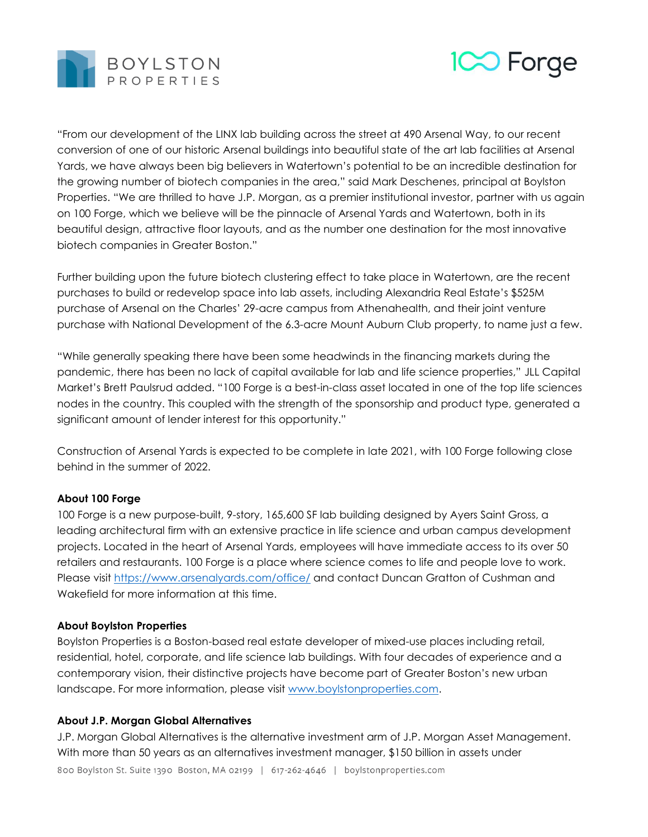



"From our development of the LINX lab building across the street at 490 Arsenal Way, to our recent conversion of one of our historic Arsenal buildings into beautiful state of the art lab facilities at Arsenal Yards, we have always been big believers in Watertown's potential to be an incredible destination for the growing number of biotech companies in the area," said Mark Deschenes, principal at Boylston Properties. "We are thrilled to have J.P. Morgan, as a premier institutional investor, partner with us again on 100 Forge, which we believe will be the pinnacle of Arsenal Yards and Watertown, both in its beautiful design, attractive floor layouts, and as the number one destination for the most innovative biotech companies in Greater Boston."

Further building upon the future biotech clustering effect to take place in Watertown, are the recent purchases to build or redevelop space into lab assets, including Alexandria Real Estate's \$525M purchase of Arsenal on the Charles' 29-acre campus from Athenahealth, and their joint venture purchase with National Development of the 6.3-acre Mount Auburn Club property, to name just a few.

"While generally speaking there have been some headwinds in the financing markets during the pandemic, there has been no lack of capital available for lab and life science properties," JLL Capital Market's Brett Paulsrud added. "100 Forge is a best-in-class asset located in one of the top life sciences nodes in the country. This coupled with the strength of the sponsorship and product type, generated a significant amount of lender interest for this opportunity."

Construction of Arsenal Yards is expected to be complete in late 2021, with 100 Forge following close behind in the summer of 2022.

## **About 100 Forge**

100 Forge is a new purpose-built, 9-story, 165,600 SF lab building designed by Ayers Saint Gross, a leading architectural firm with an extensive practice in life science and urban campus development projects. Located in the heart of Arsenal Yards, employees will have immediate access to its over 50 retailers and restaurants. 100 Forge is a place where science comes to life and people love to work. Please visit<https://www.arsenalyards.com/office/> and contact Duncan Gratton of Cushman and Wakefield for more information at this time.

## **About Boylston Properties**

Boylston Properties is a Boston-based real estate developer of mixed-use places including retail, residential, hotel, corporate, and life science lab buildings. With four decades of experience and a contemporary vision, their distinctive projects have become part of Greater Boston's new urban landscape. For more information, please visit [www.boylstonproperties.com.](http://www.boylstonproperties.com/)

## **About J.P. Morgan Global Alternatives**

J.P. Morgan Global Alternatives is the alternative investment arm of J.P. Morgan Asset Management. With more than 50 years as an alternatives investment manager, \$150 billion in assets under 800 Boylston St. Suite 1390 Boston, MA 02199 | 617-262-4646 | boylstonproperties.com